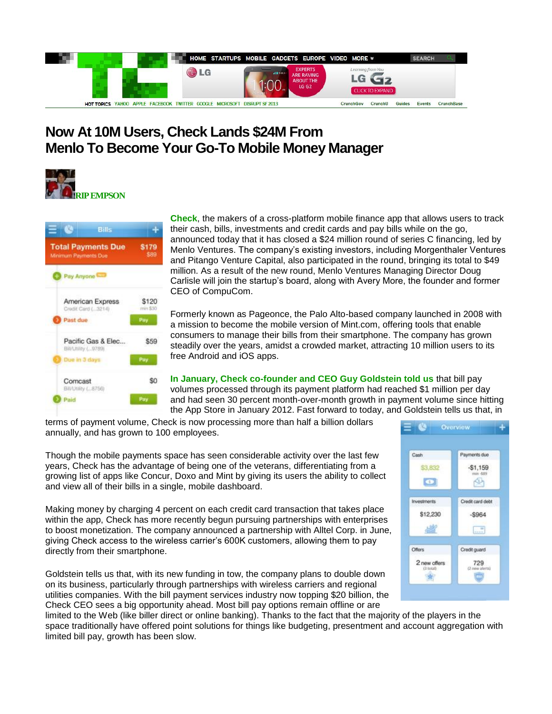

## **Now At 10M Users, Check Lands \$24M From Menlo To Become Your Go-To Mobile Money Manager**





**Check**, the makers of a cross-platform mobile finance app that allows users to track their cash, bills, investments and credit cards and pay bills while on the go, announced today that it has closed a \$24 million round of series C financing, led by Menlo Ventures. The company's existing investors, including Morgenthaler Ventures and Pitango Venture Capital, also participated in the round, bringing its total to \$49 million. As a result of the new round, Menlo Ventures Managing Director Doug Carlisle will join the startup's board, along with Avery More, the founder and former CEO of CompuCom.

Formerly known as Pageonce, the Palo Alto-based company launched in 2008 with a mission to become the mobile version of Mint.com, offering tools that enable consumers to manage their bills from their smartphone. The company has grown steadily over the years, amidst a crowded market, attracting 10 million users to its free Android and iOS apps.

**In January, Check co-founder and CEO Guy Goldstein told us** that bill pay volumes processed through its payment platform had reached \$1 million per day and had seen 30 percent month-over-month growth in payment volume since hitting the App Store in January 2012. Fast forward to today, and Goldstein tells us that, in

terms of payment volume, Check is now processing more than half a billion dollars annually, and has grown to 100 employees.

Though the mobile payments space has seen considerable activity over the last few years, Check has the advantage of being one of the veterans, differentiating from a growing list of apps like Concur, Doxo and Mint by giving its users the ability to collect and view all of their bills in a single, mobile dashboard.

Making money by charging 4 percent on each credit card transaction that takes place within the app, Check has more recently begun pursuing partnerships with enterprises to boost monetization. The company announced a partnership with Alltel Corp. in June, giving Check access to the wireless carrier's 600K customers, allowing them to pay directly from their smartphone.

Goldstein tells us that, with its new funding in tow, the company plans to double down on its business, particularly through partnerships with wireless carriers and regional utilities companies. With the bill payment services industry now topping \$20 billion, the Check CEO sees a big opportunity ahead. Most bill pay options remain offline or are



limited to the Web (like biller direct or online banking). Thanks to the fact that the majority of the players in the space traditionally have offered point solutions for things like budgeting, presentment and account aggregation with limited bill pay, growth has been slow.